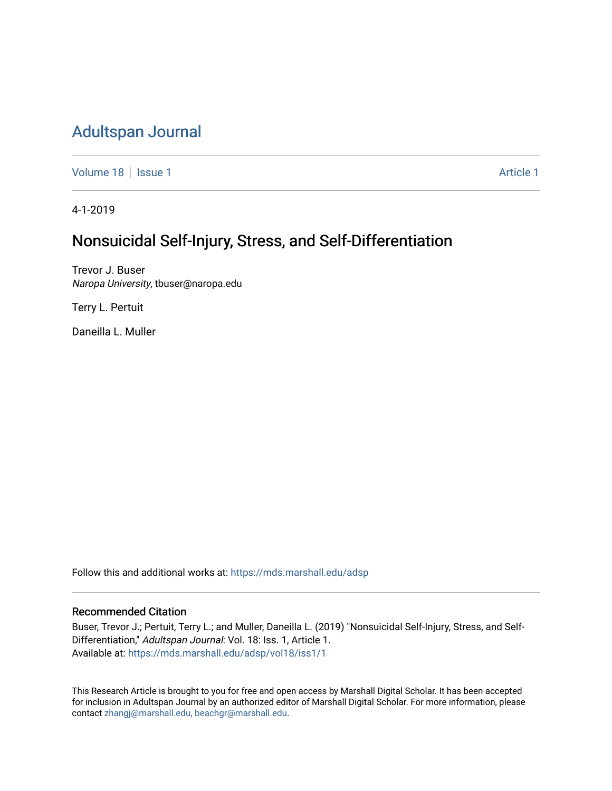## [Adultspan Journal](https://mds.marshall.edu/adsp)

[Volume 18](https://mds.marshall.edu/adsp/vol18) | [Issue 1](https://mds.marshall.edu/adsp/vol18/iss1) [Article 1](https://mds.marshall.edu/adsp/vol18/iss1/1) Article 1 Article 1 Article 1 Article 1 Article 1 Article 1 Article 1 Article 1

4-1-2019

# Nonsuicidal Self-Injury, Stress, and Self-Differentiation

Trevor J. Buser Naropa University, tbuser@naropa.edu

Terry L. Pertuit

Daneilla L. Muller

Follow this and additional works at: [https://mds.marshall.edu/adsp](https://mds.marshall.edu/adsp?utm_source=mds.marshall.edu%2Fadsp%2Fvol18%2Fiss1%2F1&utm_medium=PDF&utm_campaign=PDFCoverPages) 

## Recommended Citation

Buser, Trevor J.; Pertuit, Terry L.; and Muller, Daneilla L. (2019) "Nonsuicidal Self-Injury, Stress, and Self-Differentiation," Adultspan Journal: Vol. 18: Iss. 1, Article 1. Available at: [https://mds.marshall.edu/adsp/vol18/iss1/1](https://mds.marshall.edu/adsp/vol18/iss1/1?utm_source=mds.marshall.edu%2Fadsp%2Fvol18%2Fiss1%2F1&utm_medium=PDF&utm_campaign=PDFCoverPages) 

This Research Article is brought to you for free and open access by Marshall Digital Scholar. It has been accepted for inclusion in Adultspan Journal by an authorized editor of Marshall Digital Scholar. For more information, please contact [zhangj@marshall.edu, beachgr@marshall.edu](mailto:zhangj@marshall.edu,%20beachgr@marshall.edu).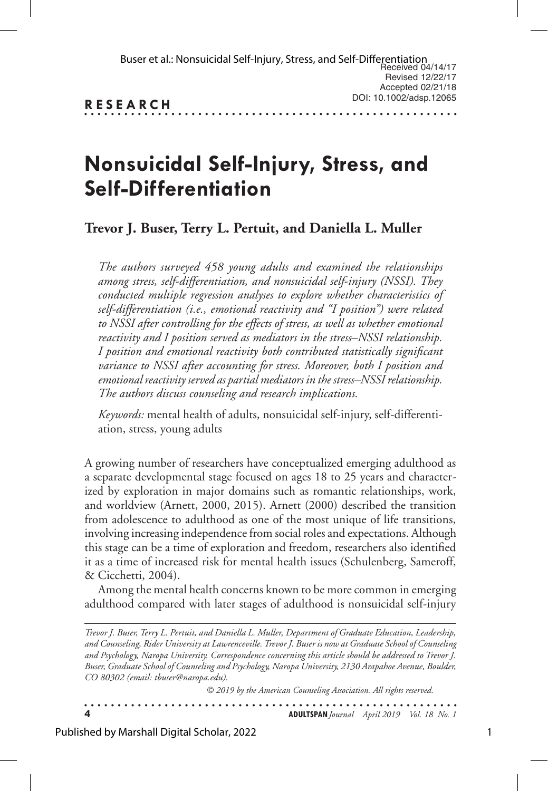. . . . . . . . . . . . . . .

# **Nonsuicidal Self-Injury, Stress, and Self-Differentiation**

**Trevor J. Buser, Terry L. Pertuit, and Daniella L. Muller**

*The authors surveyed 458 young adults and examined the relationships among stress, self-differentiation, and nonsuicidal self-injury (NSSI). They conducted multiple regression analyses to explore whether characteristics of self-differentiation (i.e., emotional reactivity and "I position") were related to NSSI after controlling for the effects of stress, as well as whether emotional reactivity and I position served as mediators in the stress–NSSI relationship. I position and emotional reactivity both contributed statistically significant variance to NSSI after accounting for stress. Moreover, both I position and emotional reactivity served as partial mediators in the stress–NSSI relationship. The authors discuss counseling and research implications.* 

*Keywords:* mental health of adults, nonsuicidal self-injury, self-differentiation, stress, young adults

A growing number of researchers have conceptualized emerging adulthood as a separate developmental stage focused on ages 18 to 25 years and characterized by exploration in major domains such as romantic relationships, work, and worldview (Arnett, 2000, 2015). Arnett (2000) described the transition from adolescence to adulthood as one of the most unique of life transitions, involving increasing independence from social roles and expectations. Although this stage can be a time of exploration and freedom, researchers also identified it as a time of increased risk for mental health issues (Schulenberg, Sameroff, & Cicchetti, 2004).

Among the mental health concerns known to be more common in emerging adulthood compared with later stages of adulthood is nonsuicidal self-injury

*Trevor J. Buser, Terry L. Pertuit, and Daniella L. Muller, Department of Graduate Education, Leadership, and Counseling, Rider University at Lawrenceville. Trevor J. Buser is now at Graduate School of Counseling and Psychology, Naropa University. Correspondence concerning this article should be addressed to Trevor J. Buser, Graduate School of Counseling and Psychology, Naropa University, 2130 Arapahoe Avenue, Boulder, CO 80302 (email: tbuser@naropa.edu).*

*© 2019 by the American Counseling Association. All rights reserved.*

. . . . . . . . . . . **4 ADULTSPAN***Journal April 2019 Vol. 18 No. 1*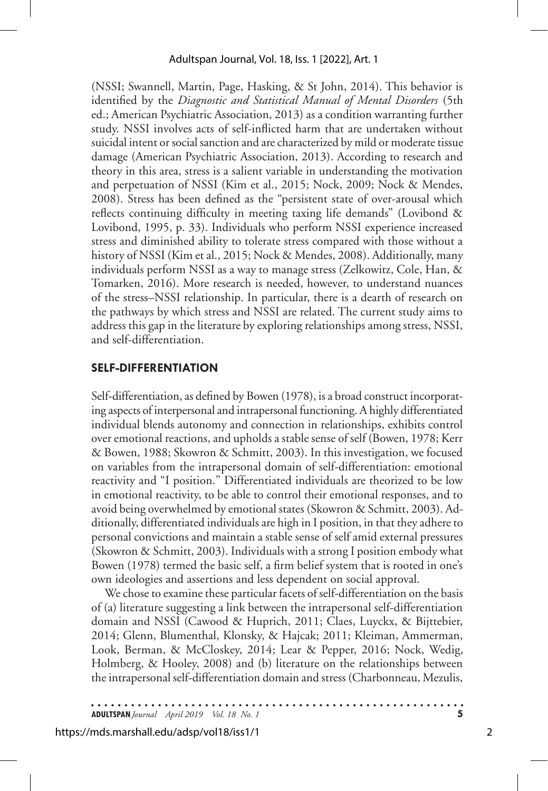(NSSI; Swannell, Martin, Page, Hasking, & St John, 2014). This behavior is identified by the *Diagnostic and Statistical Manual of Mental Disorders* (5th ed.; American Psychiatric Association, 2013) as a condition warranting further study. NSSI involves acts of self-inflicted harm that are undertaken without suicidal intent or social sanction and are characterized by mild or moderate tissue damage (American Psychiatric Association, 2013). According to research and theory in this area, stress is a salient variable in understanding the motivation and perpetuation of NSSI (Kim et al., 2015; Nock, 2009; Nock & Mendes, 2008). Stress has been defined as the "persistent state of over-arousal which reflects continuing difficulty in meeting taxing life demands" (Lovibond & Lovibond, 1995, p. 33). Individuals who perform NSSI experience increased stress and diminished ability to tolerate stress compared with those without a history of NSSI (Kim et al., 2015; Nock & Mendes, 2008). Additionally, many individuals perform NSSI as a way to manage stress (Zelkowitz, Cole, Han, & Tomarken, 2016). More research is needed, however, to understand nuances of the stress–NSSI relationship. In particular, there is a dearth of research on the pathways by which stress and NSSI are related. The current study aims to address this gap in the literature by exploring relationships among stress, NSSI, and self-differentiation.

## **SELF-DIFFERENTIATION**

Self-differentiation, as defined by Bowen (1978), is a broad construct incorporating aspects of interpersonal and intrapersonal functioning. A highly differentiated individual blends autonomy and connection in relationships, exhibits control over emotional reactions, and upholds a stable sense of self (Bowen, 1978; Kerr & Bowen, 1988; Skowron & Schmitt, 2003). In this investigation, we focused on variables from the intrapersonal domain of self-differentiation: emotional reactivity and "I position." Differentiated individuals are theorized to be low in emotional reactivity, to be able to control their emotional responses, and to avoid being overwhelmed by emotional states (Skowron & Schmitt, 2003). Additionally, differentiated individuals are high in I position, in that they adhere to personal convictions and maintain a stable sense of self amid external pressures (Skowron & Schmitt, 2003). Individuals with a strong I position embody what Bowen (1978) termed the basic self, a firm belief system that is rooted in one's own ideologies and assertions and less dependent on social approval.

We chose to examine these particular facets of self-differentiation on the basis of (a) literature suggesting a link between the intrapersonal self-differentiation domain and NSSI (Cawood & Huprich, 2011; Claes, Luyckx, & Bijttebier, 2014; Glenn, Blumenthal, Klonsky, & Hajcak; 2011; Kleiman, Ammerman, Look, Berman, & McCloskey, 2014; Lear & Pepper, 2016; Nock, Wedig, Holmberg, & Hooley, 2008) and (b) literature on the relationships between the intrapersonal self-differentiation domain and stress (Charbonneau, Mezulis,

**ADULTSPAN***Journal April 2019 Vol. 18 No. 1* **5**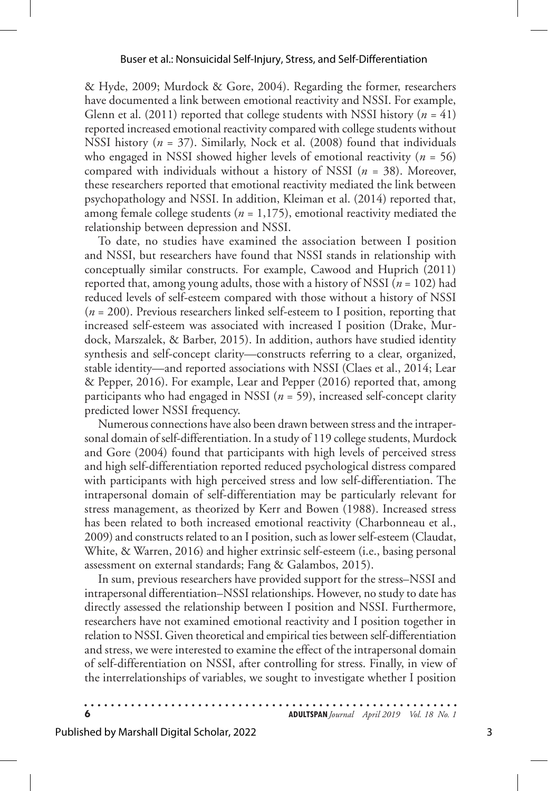& Hyde, 2009; Murdock & Gore, 2004). Regarding the former, researchers have documented a link between emotional reactivity and NSSI. For example, Glenn et al. (2011) reported that college students with NSSI history (*n* = 41) reported increased emotional reactivity compared with college students without NSSI history (*n* = 37). Similarly, Nock et al. (2008) found that individuals who engaged in NSSI showed higher levels of emotional reactivity (*n* = 56) compared with individuals without a history of NSSI (*n* = 38). Moreover, these researchers reported that emotional reactivity mediated the link between psychopathology and NSSI. In addition, Kleiman et al. (2014) reported that, among female college students ( $n = 1,175$ ), emotional reactivity mediated the relationship between depression and NSSI.

To date, no studies have examined the association between I position and NSSI, but researchers have found that NSSI stands in relationship with conceptually similar constructs. For example, Cawood and Huprich (2011) reported that, among young adults, those with a history of NSSI (*n* = 102) had reduced levels of self-esteem compared with those without a history of NSSI (*n* = 200). Previous researchers linked self-esteem to I position, reporting that increased self-esteem was associated with increased I position (Drake, Murdock, Marszalek, & Barber, 2015). In addition, authors have studied identity synthesis and self-concept clarity—constructs referring to a clear, organized, stable identity—and reported associations with NSSI (Claes et al., 2014; Lear & Pepper, 2016). For example, Lear and Pepper (2016) reported that, among participants who had engaged in NSSI (*n* = 59), increased self-concept clarity predicted lower NSSI frequency.

Numerous connections have also been drawn between stress and the intrapersonal domain of self-differentiation. In a study of 119 college students, Murdock and Gore (2004) found that participants with high levels of perceived stress and high self-differentiation reported reduced psychological distress compared with participants with high perceived stress and low self-differentiation. The intrapersonal domain of self-differentiation may be particularly relevant for stress management, as theorized by Kerr and Bowen (1988). Increased stress has been related to both increased emotional reactivity (Charbonneau et al., 2009) and constructs related to an I position, such as lower self-esteem (Claudat, White, & Warren, 2016) and higher extrinsic self-esteem (i.e., basing personal assessment on external standards; Fang & Galambos, 2015).

In sum, previous researchers have provided support for the stress–NSSI and intrapersonal differentiation–NSSI relationships. However, no study to date has directly assessed the relationship between I position and NSSI. Furthermore, researchers have not examined emotional reactivity and I position together in relation to NSSI. Given theoretical and empirical ties between self-differentiation and stress, we were interested to examine the effect of the intrapersonal domain of self-differentiation on NSSI, after controlling for stress. Finally, in view of the interrelationships of variables, we sought to investigate whether I position

**6 ADULTSPAN***Journal April 2019 Vol. 18 No. 1*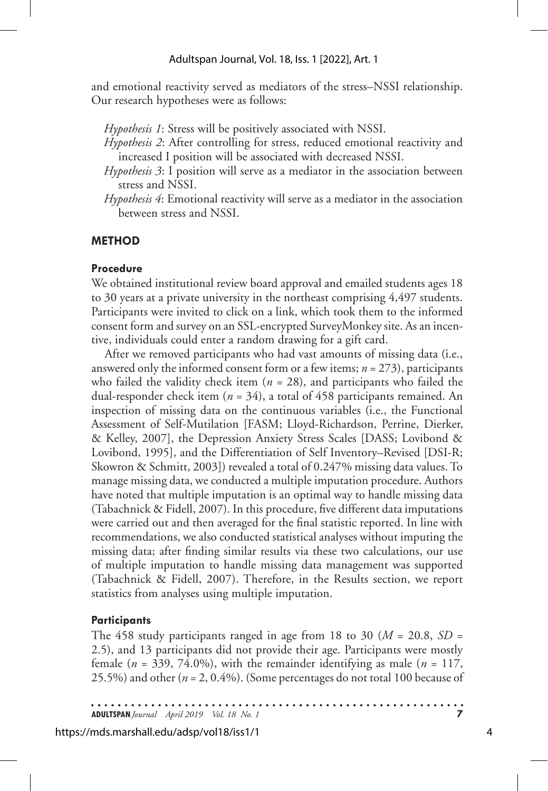and emotional reactivity served as mediators of the stress–NSSI relationship. Our research hypotheses were as follows:

*Hypothesis 1*: Stress will be positively associated with NSSI.

- *Hypothesis 2*: After controlling for stress, reduced emotional reactivity and increased I position will be associated with decreased NSSI.
- *Hypothesis 3*: I position will serve as a mediator in the association between stress and NSSI.
- *Hypothesis 4*: Emotional reactivity will serve as a mediator in the association between stress and NSSI.

## **METHOD**

## **Procedure**

We obtained institutional review board approval and emailed students ages 18 to 30 years at a private university in the northeast comprising 4,497 students. Participants were invited to click on a link, which took them to the informed consent form and survey on an SSL-encrypted SurveyMonkey site. As an incentive, individuals could enter a random drawing for a gift card.

After we removed participants who had vast amounts of missing data (i.e., answered only the informed consent form or a few items; *n* = 273), participants who failed the validity check item  $(n = 28)$ , and participants who failed the dual-responder check item (*n* = 34), a total of 458 participants remained. An inspection of missing data on the continuous variables (i.e., the Functional Assessment of Self-Mutilation [FASM; Lloyd-Richardson, Perrine, Dierker, & Kelley, 2007], the Depression Anxiety Stress Scales [DASS; Lovibond & Lovibond, 1995], and the Differentiation of Self Inventory–Revised [DSI-R; Skowron & Schmitt, 2003]) revealed a total of 0.247% missing data values. To manage missing data, we conducted a multiple imputation procedure. Authors have noted that multiple imputation is an optimal way to handle missing data (Tabachnick & Fidell, 2007). In this procedure, five different data imputations were carried out and then averaged for the final statistic reported. In line with recommendations, we also conducted statistical analyses without imputing the missing data; after finding similar results via these two calculations, our use of multiple imputation to handle missing data management was supported (Tabachnick & Fidell, 2007). Therefore, in the Results section, we report statistics from analyses using multiple imputation.

## **Participants**

The 458 study participants ranged in age from 18 to 30 ( $M = 20.8$ ,  $SD =$ 2.5), and 13 participants did not provide their age. Participants were mostly female ( $n = 339, 74.0\%$ ), with the remainder identifying as male ( $n = 117$ , 25.5%) and other (*n* = 2, 0.4%). (Some percentages do not total 100 because of

**ADULTSPAN***Journal April 2019 Vol. 18 No. 1* **7**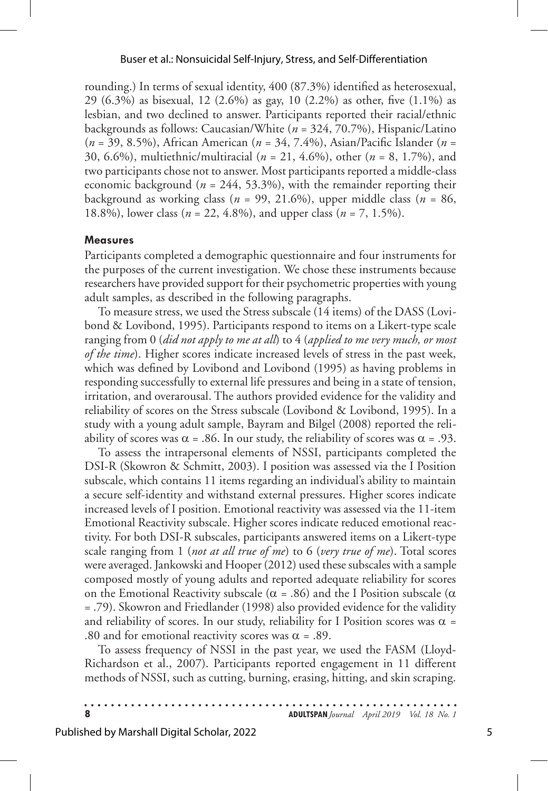rounding.) In terms of sexual identity, 400 (87.3%) identified as heterosexual, 29 (6.3%) as bisexual, 12 (2.6%) as gay, 10 (2.2%) as other, five (1.1%) as lesbian, and two declined to answer. Participants reported their racial/ethnic backgrounds as follows: Caucasian/White (*n* = 324, 70.7%), Hispanic/Latino (*n* = 39, 8.5%), African American (*n* = 34, 7.4%), Asian/Pacific Islander (*n* = 30, 6.6%), multiethnic/multiracial (*n* = 21, 4.6%), other (*n* = 8, 1.7%), and two participants chose not to answer. Most participants reported a middle-class economic background (*n* = 244, 53.3%), with the remainder reporting their background as working class ( $n = 99, 21.6\%$ ), upper middle class ( $n = 86$ , 18.8%), lower class (*n* = 22, 4.8%), and upper class (*n* = 7, 1.5%).

#### **Measures**

Participants completed a demographic questionnaire and four instruments for the purposes of the current investigation. We chose these instruments because researchers have provided support for their psychometric properties with young adult samples, as described in the following paragraphs.

To measure stress, we used the Stress subscale (14 items) of the DASS (Lovibond & Lovibond, 1995). Participants respond to items on a Likert-type scale ranging from 0 (*did not apply to me at all*) to 4 (*applied to me very much, or most of the time*). Higher scores indicate increased levels of stress in the past week, which was defined by Lovibond and Lovibond (1995) as having problems in responding successfully to external life pressures and being in a state of tension, irritation, and overarousal. The authors provided evidence for the validity and reliability of scores on the Stress subscale (Lovibond & Lovibond, 1995). In a study with a young adult sample, Bayram and Bilgel (2008) reported the reliability of scores was  $\alpha$  = .86. In our study, the reliability of scores was  $\alpha$  = .93.

To assess the intrapersonal elements of NSSI, participants completed the DSI-R (Skowron & Schmitt, 2003). I position was assessed via the I Position subscale, which contains 11 items regarding an individual's ability to maintain a secure self-identity and withstand external pressures. Higher scores indicate increased levels of I position. Emotional reactivity was assessed via the 11-item Emotional Reactivity subscale. Higher scores indicate reduced emotional reactivity. For both DSI-R subscales, participants answered items on a Likert-type scale ranging from 1 (*not at all true of me*) to 6 (*very true of me*). Total scores were averaged. Jankowski and Hooper (2012) used these subscales with a sample composed mostly of young adults and reported adequate reliability for scores on the Emotional Reactivity subscale ( $\alpha$  = .86) and the I Position subscale ( $\alpha$ = .79). Skowron and Friedlander (1998) also provided evidence for the validity and reliability of scores. In our study, reliability for I Position scores was  $\alpha$  = .80 and for emotional reactivity scores was  $\alpha$  = .89.

To assess frequency of NSSI in the past year, we used the FASM (Lloyd-Richardson et al., 2007). Participants reported engagement in 11 different methods of NSSI, such as cutting, burning, erasing, hitting, and skin scraping.

|  |  |  |  |  |  |  |  |  |  |  |  |  |  |  |  |  |  |  |  |  |  |  | <b>ADULTSPAN</b> Journal April 2019 Vol. 18 No. 1 |  |
|--|--|--|--|--|--|--|--|--|--|--|--|--|--|--|--|--|--|--|--|--|--|--|---------------------------------------------------|--|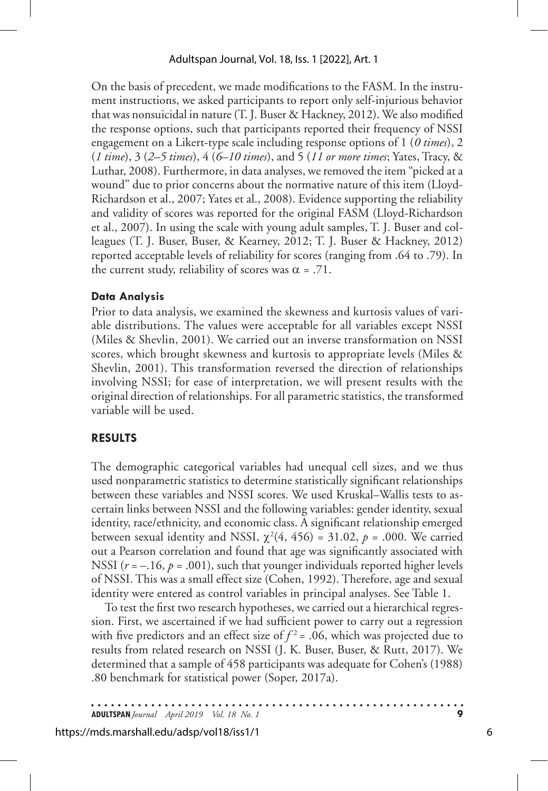On the basis of precedent, we made modifications to the FASM. In the instrument instructions, we asked participants to report only self-injurious behavior that was nonsuicidal in nature (T. J. Buser & Hackney, 2012). We also modified the response options, such that participants reported their frequency of NSSI engagement on a Likert-type scale including response options of 1 (*0 times*), 2 (*1 time*), 3 (*2–5 times*), 4 (*6–10 times*), and 5 (*11 or more times*; Yates, Tracy, & Luthar, 2008). Furthermore, in data analyses, we removed the item "picked at a wound" due to prior concerns about the normative nature of this item (Lloyd-Richardson et al., 2007; Yates et al., 2008). Evidence supporting the reliability and validity of scores was reported for the original FASM (Lloyd-Richardson et al., 2007). In using the scale with young adult samples, T. J. Buser and colleagues (T. J. Buser, Buser, & Kearney, 2012; T. J. Buser & Hackney, 2012) reported acceptable levels of reliability for scores (ranging from .64 to .79). In the current study, reliability of scores was  $\alpha = .71$ .

## **Data Analysis**

Prior to data analysis, we examined the skewness and kurtosis values of variable distributions. The values were acceptable for all variables except NSSI (Miles & Shevlin, 2001). We carried out an inverse transformation on NSSI scores, which brought skewness and kurtosis to appropriate levels (Miles & Shevlin, 2001). This transformation reversed the direction of relationships involving NSSI; for ease of interpretation, we will present results with the original direction of relationships. For all parametric statistics, the transformed variable will be used.

## **RESULTS**

The demographic categorical variables had unequal cell sizes, and we thus used nonparametric statistics to determine statistically significant relationships between these variables and NSSI scores. We used Kruskal–Wallis tests to ascertain links between NSSI and the following variables: gender identity, sexual identity, race/ethnicity, and economic class. A significant relationship emerged between sexual identity and NSSI,  $\chi^2(4, 456) = 31.02$ ,  $p = .000$ . We carried out a Pearson correlation and found that age was significantly associated with NSSI  $(r = -.16, p = .001)$ , such that younger individuals reported higher levels of NSSI. This was a small effect size (Cohen, 1992). Therefore, age and sexual identity were entered as control variables in principal analyses. See Table 1.

To test the first two research hypotheses, we carried out a hierarchical regression. First, we ascertained if we had sufficient power to carry out a regression with five predictors and an effect size of  $f^2$  = .06, which was projected due to results from related research on NSSI (J. K. Buser, Buser, & Rutt, 2017). We determined that a sample of 458 participants was adequate for Cohen's (1988) .80 benchmark for statistical power (Soper, 2017a).

**ADULTSPAN***Journal April 2019 Vol. 18 No. 1* **9**

#### https://mds.marshall.edu/adsp/vol18/iss1/1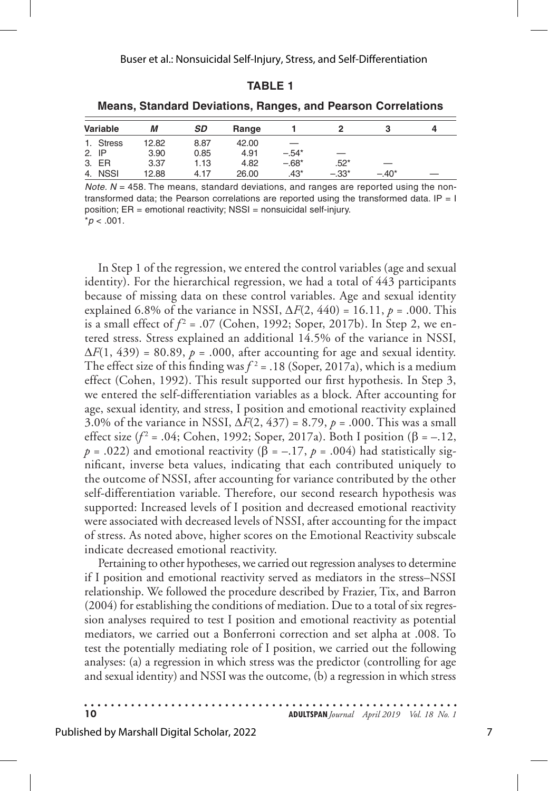#### **TABLE 1**

| Variable  | М     | <b>SD</b> | Range |         |         |         | 4 |
|-----------|-------|-----------|-------|---------|---------|---------|---|
| 1. Stress | 12.82 | 8.87      | 42.00 |         |         |         |   |
| 2. IP     | 3.90  | 0.85      | 4.91  | $-.54*$ |         |         |   |
| 3. ER     | 3.37  | 1.13      | 4.82  | $-.68*$ | $.52*$  |         |   |
| 4. NSSI   | 12.88 | 4.17      | 26.00 | $.43*$  | $-.33*$ | $-.40*$ |   |

**Means, Standard Deviations, Ranges, and Pearson Correlations**

*Note. N* = 458. The means, standard deviations, and ranges are reported using the nontransformed data; the Pearson correlations are reported using the transformed data.  $IP = I$ position; ER = emotional reactivity; NSSI = nonsuicidal self-injury.  $*p$  < .001.

In Step 1 of the regression, we entered the control variables (age and sexual identity). For the hierarchical regression, we had a total of 443 participants because of missing data on these control variables. Age and sexual identity explained 6.8% of the variance in NSSI,  $\Delta F(2, 440) = 16.11$ ,  $p = .000$ . This is a small effect of  $f^2$  = .07 (Cohen, 1992; Soper, 2017b). In Step 2, we entered stress. Stress explained an additional 14.5% of the variance in NSSI,  $\Delta F(1, 439) = 80.89$ ,  $p = .000$ , after accounting for age and sexual identity. The effect size of this finding was  $f^2 = .18$  (Soper, 2017a), which is a medium effect (Cohen, 1992). This result supported our first hypothesis. In Step 3, we entered the self-differentiation variables as a block. After accounting for age, sexual identity, and stress, I position and emotional reactivity explained 3.0% of the variance in NSSI, ∆*F*(2, 437) = 8.79, *p* = .000. This was a small effect size ( $f^2$  = .04; Cohen, 1992; Soper, 2017a). Both I position (β = -.12,  $p = .022$ ) and emotional reactivity ( $\hat{\beta} = -.17$ ,  $p = .004$ ) had statistically significant, inverse beta values, indicating that each contributed uniquely to the outcome of NSSI, after accounting for variance contributed by the other self-differentiation variable. Therefore, our second research hypothesis was supported: Increased levels of I position and decreased emotional reactivity were associated with decreased levels of NSSI, after accounting for the impact of stress. As noted above, higher scores on the Emotional Reactivity subscale indicate decreased emotional reactivity.

Pertaining to other hypotheses, we carried out regression analyses to determine if I position and emotional reactivity served as mediators in the stress–NSSI relationship. We followed the procedure described by Frazier, Tix, and Barron (2004) for establishing the conditions of mediation. Due to a total of six regression analyses required to test I position and emotional reactivity as potential mediators, we carried out a Bonferroni correction and set alpha at .008. To test the potentially mediating role of I position, we carried out the following analyses: (a) a regression in which stress was the predictor (controlling for age and sexual identity) and NSSI was the outcome, (b) a regression in which stress

**10 ADULTSPAN***Journal April 2019 Vol. 18 No. 1*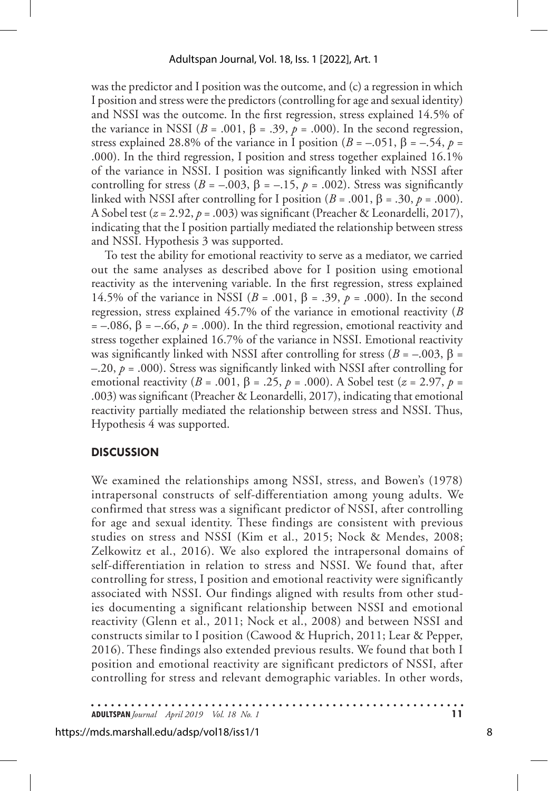was the predictor and I position was the outcome, and (c) a regression in which I position and stress were the predictors (controlling for age and sexual identity) and NSSI was the outcome. In the first regression, stress explained 14.5% of the variance in NSSI ( $B = .001$ ,  $\beta = .39$ ,  $p = .000$ ). In the second regression, stress explained 28.8% of the variance in I position ( $B = -.051$ ,  $\beta = -.54$ ,  $p =$ .000). In the third regression, I position and stress together explained 16.1% of the variance in NSSI. I position was significantly linked with NSSI after controlling for stress ( $B = -.003$ ,  $\beta = -.15$ ,  $p = .002$ ). Stress was significantly linked with NSSI after controlling for I position  $(B = .001, \beta = .30, p = .000)$ . A Sobel test (*z* = 2.92, *p* = .003) was significant (Preacher & Leonardelli, 2017), indicating that the I position partially mediated the relationship between stress and NSSI. Hypothesis 3 was supported.

To test the ability for emotional reactivity to serve as a mediator, we carried out the same analyses as described above for I position using emotional reactivity as the intervening variable. In the first regression, stress explained 14.5% of the variance in NSSI (*B* = .001, β = .39, *p* = .000). In the second regression, stress explained 45.7% of the variance in emotional reactivity (*B*  $= -.086$ ,  $\beta = -.66$ ,  $\dot{p} = .000$ ). In the third regression, emotional reactivity and stress together explained 16.7% of the variance in NSSI. Emotional reactivity was significantly linked with NSSI after controlling for stress ( $B = -0.003$ ,  $\beta =$  $-20$ ,  $p = .000$ ). Stress was significantly linked with NSSI after controlling for emotional reactivity (*B* = .001, β = .25, *p* = .000). A Sobel test (*z* = 2.97, *p* = .003) was significant (Preacher & Leonardelli, 2017), indicating that emotional reactivity partially mediated the relationship between stress and NSSI. Thus, Hypothesis 4 was supported.

## **DISCUSSION**

We examined the relationships among NSSI, stress, and Bowen's (1978) intrapersonal constructs of self-differentiation among young adults. We confirmed that stress was a significant predictor of NSSI, after controlling for age and sexual identity. These findings are consistent with previous studies on stress and NSSI (Kim et al., 2015; Nock & Mendes, 2008; Zelkowitz et al., 2016). We also explored the intrapersonal domains of self-differentiation in relation to stress and NSSI. We found that, after controlling for stress, I position and emotional reactivity were significantly associated with NSSI. Our findings aligned with results from other studies documenting a significant relationship between NSSI and emotional reactivity (Glenn et al., 2011; Nock et al., 2008) and between NSSI and constructs similar to I position (Cawood & Huprich, 2011; Lear & Pepper, 2016). These findings also extended previous results. We found that both I position and emotional reactivity are significant predictors of NSSI, after controlling for stress and relevant demographic variables. In other words,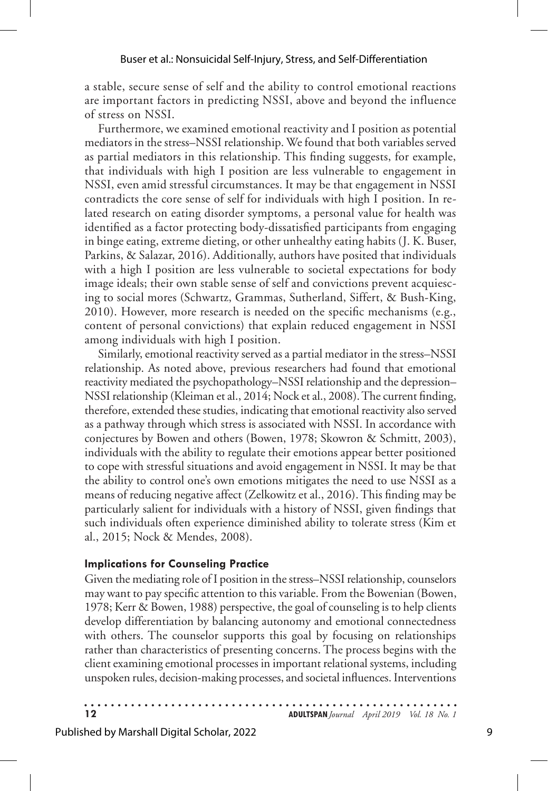a stable, secure sense of self and the ability to control emotional reactions are important factors in predicting NSSI, above and beyond the influence of stress on NSSI.

Furthermore, we examined emotional reactivity and I position as potential mediators in the stress–NSSI relationship. We found that both variables served as partial mediators in this relationship. This finding suggests, for example, that individuals with high I position are less vulnerable to engagement in NSSI, even amid stressful circumstances. It may be that engagement in NSSI contradicts the core sense of self for individuals with high I position. In related research on eating disorder symptoms, a personal value for health was identified as a factor protecting body-dissatisfied participants from engaging in binge eating, extreme dieting, or other unhealthy eating habits (J. K. Buser, Parkins, & Salazar, 2016). Additionally, authors have posited that individuals with a high I position are less vulnerable to societal expectations for body image ideals; their own stable sense of self and convictions prevent acquiescing to social mores (Schwartz, Grammas, Sutherland, Siffert, & Bush-King, 2010). However, more research is needed on the specific mechanisms (e.g., content of personal convictions) that explain reduced engagement in NSSI among individuals with high I position.

Similarly, emotional reactivity served as a partial mediator in the stress–NSSI relationship. As noted above, previous researchers had found that emotional reactivity mediated the psychopathology–NSSI relationship and the depression– NSSI relationship (Kleiman et al., 2014; Nock et al., 2008). The current finding, therefore, extended these studies, indicating that emotional reactivity also served as a pathway through which stress is associated with NSSI. In accordance with conjectures by Bowen and others (Bowen, 1978; Skowron & Schmitt, 2003), individuals with the ability to regulate their emotions appear better positioned to cope with stressful situations and avoid engagement in NSSI. It may be that the ability to control one's own emotions mitigates the need to use NSSI as a means of reducing negative affect (Zelkowitz et al., 2016). This finding may be particularly salient for individuals with a history of NSSI, given findings that such individuals often experience diminished ability to tolerate stress (Kim et al., 2015; Nock & Mendes, 2008).

## **Implications for Counseling Practice**

Given the mediating role of I position in the stress–NSSI relationship, counselors may want to pay specific attention to this variable. From the Bowenian (Bowen, 1978; Kerr & Bowen, 1988) perspective, the goal of counseling is to help clients develop differentiation by balancing autonomy and emotional connectedness with others. The counselor supports this goal by focusing on relationships rather than characteristics of presenting concerns. The process begins with the client examining emotional processes in important relational systems, including unspoken rules, decision-making processes, and societal influences. Interventions

**12 ADULTSPAN***Journal April 2019 Vol. 18 No. 1*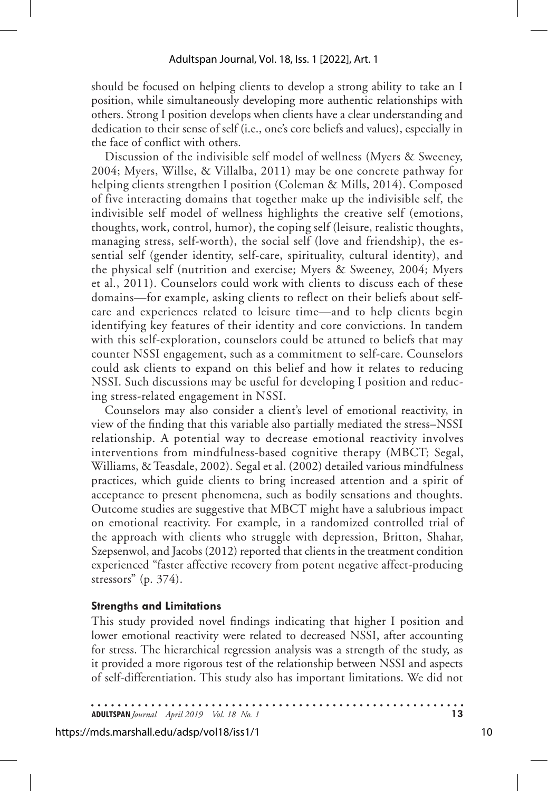should be focused on helping clients to develop a strong ability to take an I position, while simultaneously developing more authentic relationships with others. Strong I position develops when clients have a clear understanding and dedication to their sense of self (i.e., one's core beliefs and values), especially in the face of conflict with others.

Discussion of the indivisible self model of wellness (Myers & Sweeney, 2004; Myers, Willse, & Villalba, 2011) may be one concrete pathway for helping clients strengthen I position (Coleman & Mills, 2014). Composed of five interacting domains that together make up the indivisible self, the indivisible self model of wellness highlights the creative self (emotions, thoughts, work, control, humor), the coping self (leisure, realistic thoughts, managing stress, self-worth), the social self (love and friendship), the essential self (gender identity, self-care, spirituality, cultural identity), and the physical self (nutrition and exercise; Myers & Sweeney, 2004; Myers et al., 2011). Counselors could work with clients to discuss each of these domains—for example, asking clients to reflect on their beliefs about selfcare and experiences related to leisure time—and to help clients begin identifying key features of their identity and core convictions. In tandem with this self-exploration, counselors could be attuned to beliefs that may counter NSSI engagement, such as a commitment to self-care. Counselors could ask clients to expand on this belief and how it relates to reducing NSSI. Such discussions may be useful for developing I position and reducing stress-related engagement in NSSI.

Counselors may also consider a client's level of emotional reactivity, in view of the finding that this variable also partially mediated the stress–NSSI relationship. A potential way to decrease emotional reactivity involves interventions from mindfulness-based cognitive therapy (MBCT; Segal, Williams, & Teasdale, 2002). Segal et al. (2002) detailed various mindfulness practices, which guide clients to bring increased attention and a spirit of acceptance to present phenomena, such as bodily sensations and thoughts. Outcome studies are suggestive that MBCT might have a salubrious impact on emotional reactivity. For example, in a randomized controlled trial of the approach with clients who struggle with depression, Britton, Shahar, Szepsenwol, and Jacobs (2012) reported that clients in the treatment condition experienced "faster affective recovery from potent negative affect-producing stressors" (p.  $374$ ).

#### **Strengths and Limitations**

This study provided novel findings indicating that higher I position and lower emotional reactivity were related to decreased NSSI, after accounting for stress. The hierarchical regression analysis was a strength of the study, as it provided a more rigorous test of the relationship between NSSI and aspects of self-differentiation. This study also has important limitations. We did not

**ADULTSPAN***Journal April 2019 Vol. 18 No. 1* **13**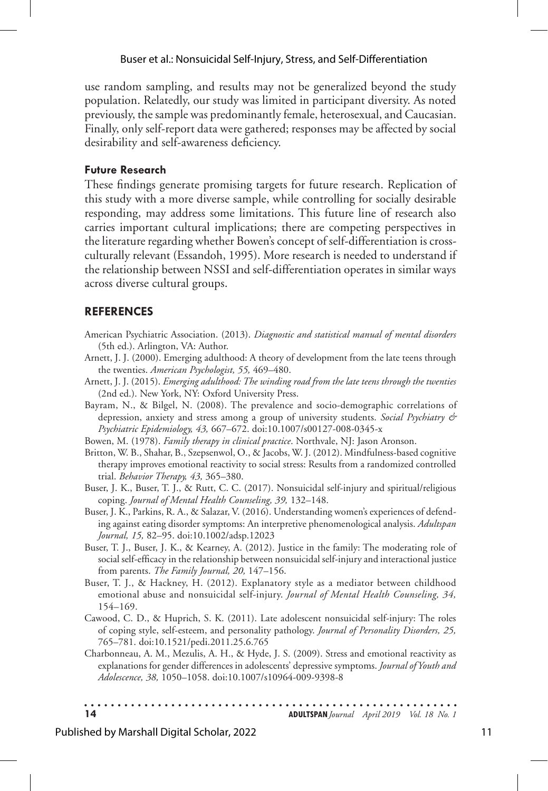## Buser et al.: Nonsuicidal Self-Injury, Stress, and Self-Differentiation

use random sampling, and results may not be generalized beyond the study population. Relatedly, our study was limited in participant diversity. As noted previously, the sample was predominantly female, heterosexual, and Caucasian. Finally, only self-report data were gathered; responses may be affected by social desirability and self-awareness deficiency.

## **Future Research**

These findings generate promising targets for future research. Replication of this study with a more diverse sample, while controlling for socially desirable responding, may address some limitations. This future line of research also carries important cultural implications; there are competing perspectives in the literature regarding whether Bowen's concept of self-differentiation is crossculturally relevant (Essandoh, 1995). More research is needed to understand if the relationship between NSSI and self-differentiation operates in similar ways across diverse cultural groups.

## **REFERENCES**

- American Psychiatric Association. (2013). *Diagnostic and statistical manual of mental disorders*  (5th ed.). Arlington, VA: Author.
- Arnett, J. J. (2000). Emerging adulthood: A theory of development from the late teens through the twenties. *American Psychologist, 55,* 469–480.
- Arnett, J. J. (2015). *Emerging adulthood: The winding road from the late teens through the twenties* (2nd ed.). New York, NY: Oxford University Press.
- Bayram, N., & Bilgel, N. (2008). The prevalence and socio-demographic correlations of depression, anxiety and stress among a group of university students. *Social Psychiatry & Psychiatric Epidemiology, 43,* 667–672. doi:10.1007/s00127-008-0345-x
- Bowen, M. (1978). *Family therapy in clinical practice*. Northvale, NJ: Jason Aronson.
- Britton, W. B., Shahar, B., Szepsenwol, O., & Jacobs, W. J. (2012). Mindfulness-based cognitive therapy improves emotional reactivity to social stress: Results from a randomized controlled trial. *Behavior Therapy, 43,* 365–380.
- Buser, J. K., Buser, T. J., & Rutt, C. C. (2017). Nonsuicidal self-injury and spiritual/religious coping. *Journal of Mental Health Counseling, 39,* 132–148.
- Buser, J. K., Parkins, R. A., & Salazar, V. (2016). Understanding women's experiences of defending against eating disorder symptoms: An interpretive phenomenological analysis. *Adultspan Journal, 15,* 82–95. doi:10.1002/adsp.12023
- Buser, T. J., Buser, J. K., & Kearney, A. (2012). Justice in the family: The moderating role of social self-efficacy in the relationship between nonsuicidal self-injury and interactional justice from parents. *The Family Journal, 20,* 147–156.
- Buser, T. J., & Hackney, H. (2012). Explanatory style as a mediator between childhood emotional abuse and nonsuicidal self-injury. *Journal of Mental Health Counseling, 34,*  154–169.
- Cawood, C. D., & Huprich, S. K. (2011). Late adolescent nonsuicidal self-injury: The roles of coping style, self-esteem, and personality pathology. *Journal of Personality Disorders, 25,* 765–781. doi:10.1521/pedi.2011.25.6.765
- Charbonneau, A. M., Mezulis, A. H., & Hyde, J. S. (2009). Stress and emotional reactivity as explanations for gender differences in adolescents' depressive symptoms. *Journal of Youth and Adolescence, 38,* 1050–1058. doi:10.1007/s10964-009-9398-8

**14 ADULTSPAN***Journal April 2019 Vol. 18 No. 1*

## Published by Marshall Digital Scholar, 2022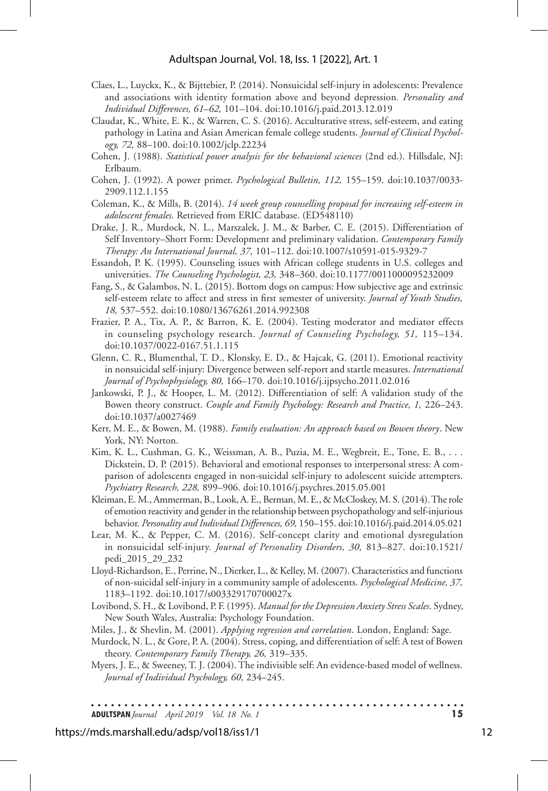#### Adultspan Journal, Vol. 18, Iss. 1 [2022], Art. 1

- Claes, L., Luyckx, K., & Bijttebier, P. (2014). Nonsuicidal self-injury in adolescents: Prevalence and associations with identity formation above and beyond depression*. Personality and Individual Differences, 61–62,* 101–104. doi:10.1016/j.paid.2013.12.019
- Claudat, K., White, E. K., & Warren, C. S. (2016). Acculturative stress, self-esteem, and eating pathology in Latina and Asian American female college students. *Journal of Clinical Psychology, 72,* 88–100. doi:10.1002/jclp.22234
- Cohen, J. (1988). *Statistical power analysis for the behavioral sciences* (2nd ed.). Hillsdale, NJ: Erlbaum.
- Cohen, J. (1992). A power primer. *Psychological Bulletin, 112,* 155–159. doi:10.1037/0033- 2909.112.1.155
- Coleman, K., & Mills, B. (2014). *14 week group counselling proposal for increasing self-esteem in adolescent females.* Retrieved from ERIC database. (ED548110)
- Drake, J. R., Murdock, N. L., Marszalek, J. M., & Barber, C. E. (2015). Differentiation of Self Inventory–Short Form: Development and preliminary validation. *Contemporary Family Therapy: An International Journal, 37,* 101–112. doi:10.1007/s10591-015-9329-7
- Essandoh, P. K. (1995). Counseling issues with African college students in U.S. colleges and universities. *The Counseling Psychologist, 23,* 348–360. doi:10.1177/0011000095232009
- Fang, S., & Galambos, N. L. (2015). Bottom dogs on campus: How subjective age and extrinsic self-esteem relate to affect and stress in first semester of university. *Journal of Youth Studies, 18,* 537–552. doi:10.1080/13676261.2014.992308
- Frazier, P. A., Tix, A. P., & Barron, K. E. (2004). Testing moderator and mediator effects in counseling psychology research. *Journal of Counseling Psychology, 51,* 115–134. doi:10.1037/0022-0167.51.1.115
- Glenn, C. R., Blumenthal, T. D., Klonsky, E. D., & Hajcak, G. (2011). Emotional reactivity in nonsuicidal self-injury: Divergence between self-report and startle measures. *International Journal of Psychophysiology, 80,* 166–170. doi:10.1016/j.ijpsycho.2011.02.016
- Jankowski, P. J., & Hooper, L. M. (2012). Differentiation of self: A validation study of the Bowen theory construct. *Couple and Family Psychology: Research and Practice, 1,* 226–243. doi:10.1037/a0027469
- Kerr, M. E., & Bowen, M. (1988). *Family evaluation: An approach based on Bowen theory*. New York, NY: Norton.
- Kim, K. L., Cushman, G. K., Weissman, A. B., Puzia, M. E., Wegbreit, E., Tone, E. B., . . . Dickstein, D. P. (2015). Behavioral and emotional responses to interpersonal stress: A comparison of adolescents engaged in non-suicidal self-injury to adolescent suicide attempters. *Psychiatry Research, 228,* 899–906. doi:10.1016/j.psychres.2015.05.001
- Kleiman, E. M., Ammerman, B., Look, A. E., Berman, M. E., & McCloskey, M. S. (2014). The role of emotion reactivity and gender in the relationship between psychopathology and self-injurious behavior. *Personality and Individual Differences, 69,* 150–155. doi:10.1016/j.paid.2014.05.021
- Lear, M. K., & Pepper, C. M. (2016). Self-concept clarity and emotional dysregulation in nonsuicidal self-injury. *Journal of Personality Disorders, 30,* 813–827. doi:10.1521/ pedi\_2015\_29\_232
- Lloyd-Richardson, E., Perrine, N., Dierker, L., & Kelley, M. (2007). Characteristics and functions of non-suicidal self-injury in a community sample of adolescents. *Psychological Medicine, 37,* 1183–1192. doi:10.1017/s003329170700027x
- Lovibond, S. H., & Lovibond, P. F. (1995). *Manual for the Depression Anxiety Stress Scales*. Sydney, New South Wales, Australia: Psychology Foundation.

Miles, J., & Shevlin, M. (2001). *Applying regression and correlation*. London, England: Sage.

Murdock, N. L., & Gore, P. A. (2004). Stress, coping, and differentiation of self: A test of Bowen theory. *Contemporary Family Therapy, 26,* 319–335.

Myers, J. E., & Sweeney, T. J. (2004). The indivisible self: An evidence-based model of wellness. *Journal of Individual Psychology, 60,* 234–245.

**ADULTSPAN***Journal April 2019 Vol. 18 No. 1* **15**

https://mds.marshall.edu/adsp/vol18/iss1/1